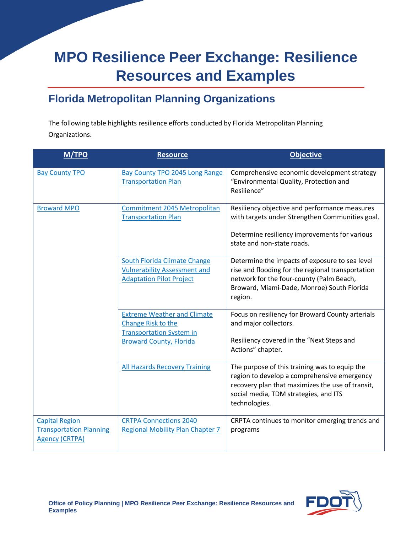# **MPO Resilience Peer Exchange: Resilience Resources and Examples**

### **Florida Metropolitan Planning Organizations**

The following table highlights resilience efforts conducted by Florida Metropolitan Planning Organizations.

| <b>M/TPO</b>                                                                     | <b>Resource</b>                                                                                        | <b>Objective</b>                                                                                                                                                                                           |
|----------------------------------------------------------------------------------|--------------------------------------------------------------------------------------------------------|------------------------------------------------------------------------------------------------------------------------------------------------------------------------------------------------------------|
| <b>Bay County TPO</b>                                                            | <b>Bay County TPO 2045 Long Range</b><br><b>Transportation Plan</b>                                    | Comprehensive economic development strategy<br>"Environmental Quality, Protection and<br>Resilience"                                                                                                       |
| <b>Broward MPO</b>                                                               | Commitment 2045 Metropolitan<br><b>Transportation Plan</b>                                             | Resiliency objective and performance measures<br>with targets under Strengthen Communities goal.                                                                                                           |
|                                                                                  |                                                                                                        | Determine resiliency improvements for various<br>state and non-state roads.                                                                                                                                |
|                                                                                  | South Florida Climate Change<br><b>Vulnerability Assessment and</b><br><b>Adaptation Pilot Project</b> | Determine the impacts of exposure to sea level<br>rise and flooding for the regional transportation<br>network for the four-county (Palm Beach,<br>Broward, Miami-Dade, Monroe) South Florida<br>region.   |
|                                                                                  | <b>Extreme Weather and Climate</b><br>Change Risk to the<br><b>Transportation System in</b>            | Focus on resiliency for Broward County arterials<br>and major collectors.                                                                                                                                  |
|                                                                                  | <b>Broward County, Florida</b>                                                                         | Resiliency covered in the "Next Steps and<br>Actions" chapter.                                                                                                                                             |
|                                                                                  | <b>All Hazards Recovery Training</b>                                                                   | The purpose of this training was to equip the<br>region to develop a comprehensive emergency<br>recovery plan that maximizes the use of transit,<br>social media, TDM strategies, and ITS<br>technologies. |
| <b>Capital Region</b><br><b>Transportation Planning</b><br><b>Agency (CRTPA)</b> | <b>CRTPA Connections 2040</b><br><b>Regional Mobility Plan Chapter 7</b>                               | CRPTA continues to monitor emerging trends and<br>programs                                                                                                                                                 |

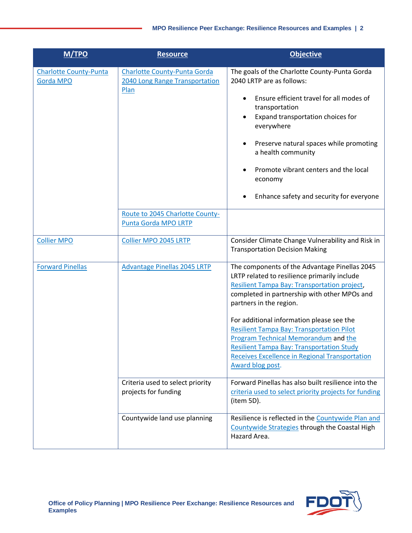| M/TPO                                             | <b>Resource</b>                                                               | <b>Objective</b>                                                                                                                                                                                                                                                                                                                                                                                                                                                                                   |
|---------------------------------------------------|-------------------------------------------------------------------------------|----------------------------------------------------------------------------------------------------------------------------------------------------------------------------------------------------------------------------------------------------------------------------------------------------------------------------------------------------------------------------------------------------------------------------------------------------------------------------------------------------|
| <b>Charlotte County-Punta</b><br><b>Gorda MPO</b> | <b>Charlotte County-Punta Gorda</b><br>2040 Long Range Transportation<br>Plan | The goals of the Charlotte County-Punta Gorda<br>2040 LRTP are as follows:<br>Ensure efficient travel for all modes of<br>transportation<br>Expand transportation choices for<br>everywhere<br>Preserve natural spaces while promoting<br>a health community<br>Promote vibrant centers and the local<br>economy<br>Enhance safety and security for everyone                                                                                                                                       |
|                                                   | Route to 2045 Charlotte County-<br>Punta Gorda MPO LRTP                       |                                                                                                                                                                                                                                                                                                                                                                                                                                                                                                    |
| <b>Collier MPO</b>                                | Collier MPO 2045 LRTP                                                         | Consider Climate Change Vulnerability and Risk in<br><b>Transportation Decision Making</b>                                                                                                                                                                                                                                                                                                                                                                                                         |
| <b>Forward Pinellas</b>                           | <b>Advantage Pinellas 2045 LRTP</b>                                           | The components of the Advantage Pinellas 2045<br>LRTP related to resilience primarily include<br>Resilient Tampa Bay: Transportation project,<br>completed in partnership with other MPOs and<br>partners in the region.<br>For additional information please see the<br><b>Resilient Tampa Bay: Transportation Pilot</b><br><b>Program Technical Memorandum and the</b><br><b>Resilient Tampa Bay: Transportation Study</b><br>Receives Excellence in Regional Transportation<br>Award blog post. |
|                                                   | Criteria used to select priority<br>projects for funding                      | Forward Pinellas has also built resilience into the<br>criteria used to select priority projects for funding<br>(item 5D).                                                                                                                                                                                                                                                                                                                                                                         |
|                                                   | Countywide land use planning                                                  | Resilience is reflected in the Countywide Plan and<br>Countywide Strategies through the Coastal High<br>Hazard Area.                                                                                                                                                                                                                                                                                                                                                                               |

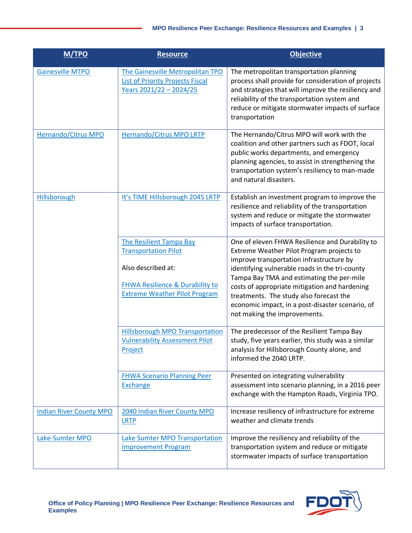| <b>M/TPO</b>                   | <b>Resource</b>                                                                                                                                                           | <b>Objective</b>                                                                                                                                                                                                                                                                                                                                                                                                        |
|--------------------------------|---------------------------------------------------------------------------------------------------------------------------------------------------------------------------|-------------------------------------------------------------------------------------------------------------------------------------------------------------------------------------------------------------------------------------------------------------------------------------------------------------------------------------------------------------------------------------------------------------------------|
| <b>Gainesville MTPO</b>        | The Gainesville Metropolitan TPO<br><b>List of Priority Projects Fiscal</b><br>Years 2021/22 - 2024/25                                                                    | The metropolitan transportation planning<br>process shall provide for consideration of projects<br>and strategies that will improve the resiliency and<br>reliability of the transportation system and<br>reduce or mitigate stormwater impacts of surface<br>transportation                                                                                                                                            |
| <b>Hernando/Citrus MPO</b>     | Hernando/Citrus MPO LRTP                                                                                                                                                  | The Hernando/Citrus MPO will work with the<br>coalition and other partners such as FDOT, local<br>public works departments, and emergency<br>planning agencies, to assist in strengthening the<br>transportation system's resiliency to man-made<br>and natural disasters.                                                                                                                                              |
| <b>Hillsborough</b>            | It's TIME Hillsborough 2045 LRTP                                                                                                                                          | Establish an investment program to improve the<br>resilience and reliability of the transportation<br>system and reduce or mitigate the stormwater<br>impacts of surface transportation.                                                                                                                                                                                                                                |
|                                | <b>The Resilient Tampa Bay</b><br><b>Transportation Pilot</b><br>Also described at:<br><b>FHWA Resilience &amp; Durability to</b><br><b>Extreme Weather Pilot Program</b> | One of eleven FHWA Resilience and Durability to<br>Extreme Weather Pilot Program projects to<br>improve transportation infrastructure by<br>identifying vulnerable roads in the tri-county<br>Tampa Bay TMA and estimating the per-mile<br>costs of appropriate mitigation and hardening<br>treatments. The study also forecast the<br>economic impact, in a post-disaster scenario, of<br>not making the improvements. |
|                                | <b>Hillsborough MPO Transportation</b><br><b>Vulnerability Assessment Pilot</b><br>Project                                                                                | The predecessor of the Resilient Tampa Bay<br>study, five years earlier, this study was a similar<br>analysis for Hillsborough County alone, and<br>informed the 2040 LRTP.                                                                                                                                                                                                                                             |
|                                | <b>FHWA Scenario Planning Peer</b><br><b>Exchange</b>                                                                                                                     | Presented on integrating vulnerability<br>assessment into scenario planning, in a 2016 peer<br>exchange with the Hampton Roads, Virginia TPO.                                                                                                                                                                                                                                                                           |
| <b>Indian River County MPO</b> | 2040 Indian River County MPO<br><b>LRTP</b>                                                                                                                               | Increase resiliency of infrastructure for extreme<br>weather and climate trends                                                                                                                                                                                                                                                                                                                                         |
| Lake-Sumter MPO                | <b>Lake Sumter MPO Transportation</b><br><b>Improvement Program</b>                                                                                                       | Improve the resiliency and reliability of the<br>transportation system and reduce or mitigate<br>stormwater impacts of surface transportation                                                                                                                                                                                                                                                                           |

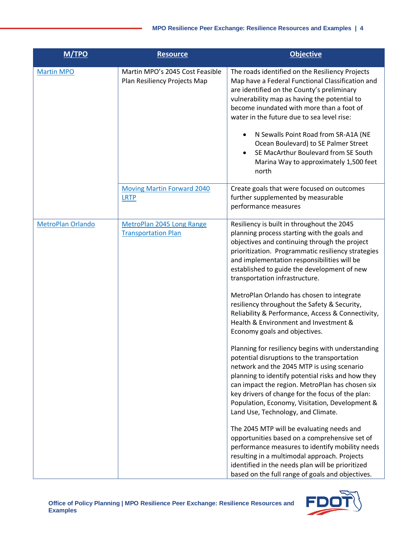| M/TPO                    | <b>Resource</b>                                                 | <b>Objective</b>                                                                                                                                                                                                                                                                                                                                                                                                                                                                                                                                                                                                                                                                                                                                                                                                                                                                                                                                                                                                                                                                                                                                                                                                                                                             |
|--------------------------|-----------------------------------------------------------------|------------------------------------------------------------------------------------------------------------------------------------------------------------------------------------------------------------------------------------------------------------------------------------------------------------------------------------------------------------------------------------------------------------------------------------------------------------------------------------------------------------------------------------------------------------------------------------------------------------------------------------------------------------------------------------------------------------------------------------------------------------------------------------------------------------------------------------------------------------------------------------------------------------------------------------------------------------------------------------------------------------------------------------------------------------------------------------------------------------------------------------------------------------------------------------------------------------------------------------------------------------------------------|
| <b>Martin MPO</b>        | Martin MPO's 2045 Cost Feasible<br>Plan Resiliency Projects Map | The roads identified on the Resiliency Projects<br>Map have a Federal Functional Classification and<br>are identified on the County's preliminary<br>vulnerability map as having the potential to<br>become inundated with more than a foot of<br>water in the future due to sea level rise:<br>N Sewalls Point Road from SR-A1A (NE<br>Ocean Boulevard) to SE Palmer Street<br>SE MacArthur Boulevard from SE South<br>Marina Way to approximately 1,500 feet<br>north                                                                                                                                                                                                                                                                                                                                                                                                                                                                                                                                                                                                                                                                                                                                                                                                      |
|                          | <b>Moving Martin Forward 2040</b><br><b>LRTP</b>                | Create goals that were focused on outcomes<br>further supplemented by measurable<br>performance measures                                                                                                                                                                                                                                                                                                                                                                                                                                                                                                                                                                                                                                                                                                                                                                                                                                                                                                                                                                                                                                                                                                                                                                     |
| <b>MetroPlan Orlando</b> | MetroPlan 2045 Long Range<br><b>Transportation Plan</b>         | Resiliency is built in throughout the 2045<br>planning process starting with the goals and<br>objectives and continuing through the project<br>prioritization. Programmatic resiliency strategies<br>and implementation responsibilities will be<br>established to guide the development of new<br>transportation infrastructure.<br>MetroPlan Orlando has chosen to integrate<br>resiliency throughout the Safety & Security,<br>Reliability & Performance, Access & Connectivity,<br>Health & Environment and Investment &<br>Economy goals and objectives.<br>Planning for resiliency begins with understanding<br>potential disruptions to the transportation<br>network and the 2045 MTP is using scenario<br>planning to identify potential risks and how they<br>can impact the region. MetroPlan has chosen six<br>key drivers of change for the focus of the plan:<br>Population, Economy, Visitation, Development &<br>Land Use, Technology, and Climate.<br>The 2045 MTP will be evaluating needs and<br>opportunities based on a comprehensive set of<br>performance measures to identify mobility needs<br>resulting in a multimodal approach. Projects<br>identified in the needs plan will be prioritized<br>based on the full range of goals and objectives. |

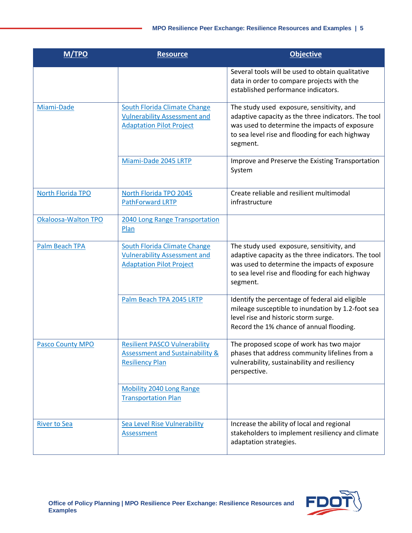| <b>M/TPO</b>            | <b>Resource</b>                                                                                               | <b>Objective</b>                                                                                                                                                                                                 |
|-------------------------|---------------------------------------------------------------------------------------------------------------|------------------------------------------------------------------------------------------------------------------------------------------------------------------------------------------------------------------|
|                         |                                                                                                               | Several tools will be used to obtain qualitative<br>data in order to compare projects with the<br>established performance indicators.                                                                            |
| Miami-Dade              | <b>South Florida Climate Change</b><br><b>Vulnerability Assessment and</b><br><b>Adaptation Pilot Project</b> | The study used exposure, sensitivity, and<br>adaptive capacity as the three indicators. The tool<br>was used to determine the impacts of exposure<br>to sea level rise and flooding for each highway<br>segment. |
|                         | Miami-Dade 2045 LRTP                                                                                          | Improve and Preserve the Existing Transportation<br>System                                                                                                                                                       |
| North Florida TPO       | North Florida TPO 2045<br><b>PathForward LRTP</b>                                                             | Create reliable and resilient multimodal<br>infrastructure                                                                                                                                                       |
| Okaloosa-Walton TPO     | 2040 Long Range Transportation<br>Plan                                                                        |                                                                                                                                                                                                                  |
| <b>Palm Beach TPA</b>   | <b>South Florida Climate Change</b><br><b>Vulnerability Assessment and</b><br><b>Adaptation Pilot Project</b> | The study used exposure, sensitivity, and<br>adaptive capacity as the three indicators. The tool<br>was used to determine the impacts of exposure<br>to sea level rise and flooding for each highway<br>segment. |
|                         | Palm Beach TPA 2045 LRTP                                                                                      | Identify the percentage of federal aid eligible<br>mileage susceptible to inundation by 1.2-foot sea<br>level rise and historic storm surge.<br>Record the 1% chance of annual flooding.                         |
| <b>Pasco County MPO</b> | <b>Resilient PASCO Vulnerability</b><br><b>Assessment and Sustainability &amp;</b><br><b>Resiliency Plan</b>  | The proposed scope of work has two major<br>phases that address community lifelines from a<br>vulnerability, sustainability and resiliency<br>perspective.                                                       |
|                         | <b>Mobility 2040 Long Range</b><br><b>Transportation Plan</b>                                                 |                                                                                                                                                                                                                  |
| <b>River to Sea</b>     | Sea Level Rise Vulnerability<br><b>Assessment</b>                                                             | Increase the ability of local and regional<br>stakeholders to implement resiliency and climate<br>adaptation strategies.                                                                                         |

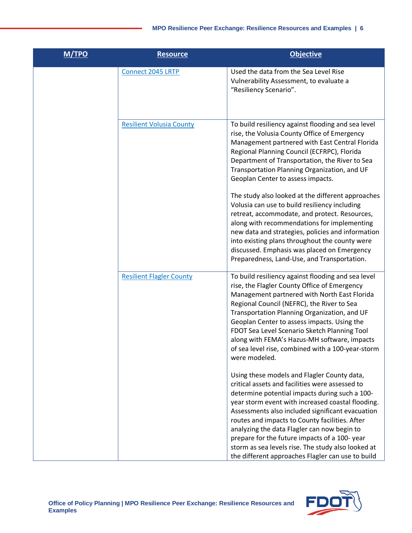| M/TPO | <b>Resource</b>                 | <b>Objective</b>                                                                                                                                                                                                                                                                                                                                                                                                                                                                                                      |
|-------|---------------------------------|-----------------------------------------------------------------------------------------------------------------------------------------------------------------------------------------------------------------------------------------------------------------------------------------------------------------------------------------------------------------------------------------------------------------------------------------------------------------------------------------------------------------------|
|       | Connect 2045 LRTP               | Used the data from the Sea Level Rise<br>Vulnerability Assessment, to evaluate a<br>"Resiliency Scenario".                                                                                                                                                                                                                                                                                                                                                                                                            |
|       | <b>Resilient Volusia County</b> | To build resiliency against flooding and sea level<br>rise, the Volusia County Office of Emergency<br>Management partnered with East Central Florida<br>Regional Planning Council (ECFRPC), Florida<br>Department of Transportation, the River to Sea<br>Transportation Planning Organization, and UF<br>Geoplan Center to assess impacts.                                                                                                                                                                            |
|       |                                 | The study also looked at the different approaches<br>Volusia can use to build resiliency including<br>retreat, accommodate, and protect. Resources,<br>along with recommendations for implementing<br>new data and strategies, policies and information<br>into existing plans throughout the county were<br>discussed. Emphasis was placed on Emergency<br>Preparedness, Land-Use, and Transportation.                                                                                                               |
|       | <b>Resilient Flagler County</b> | To build resiliency against flooding and sea level<br>rise, the Flagler County Office of Emergency<br>Management partnered with North East Florida<br>Regional Council (NEFRC), the River to Sea<br>Transportation Planning Organization, and UF<br>Geoplan Center to assess impacts. Using the<br>FDOT Sea Level Scenario Sketch Planning Tool<br>along with FEMA's Hazus-MH software, impacts<br>of sea level rise, combined with a 100-year-storm<br>were modeled.                                                 |
|       |                                 | Using these models and Flagler County data,<br>critical assets and facilities were assessed to<br>determine potential impacts during such a 100-<br>year storm event with increased coastal flooding.<br>Assessments also included significant evacuation<br>routes and impacts to County facilities. After<br>analyzing the data Flagler can now begin to<br>prepare for the future impacts of a 100-year<br>storm as sea levels rise. The study also looked at<br>the different approaches Flagler can use to build |

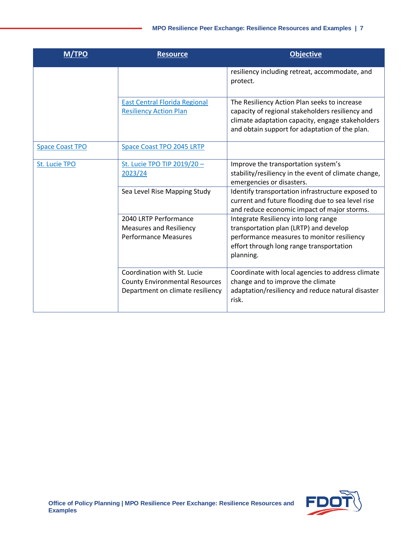| M/TPO                  | <b>Resource</b>                                                                                          | <b>Objective</b>                                                                                                                                                                                       |
|------------------------|----------------------------------------------------------------------------------------------------------|--------------------------------------------------------------------------------------------------------------------------------------------------------------------------------------------------------|
|                        |                                                                                                          | resiliency including retreat, accommodate, and<br>protect.                                                                                                                                             |
|                        | <b>East Central Florida Regional</b><br><b>Resiliency Action Plan</b>                                    | The Resiliency Action Plan seeks to increase<br>capacity of regional stakeholders resiliency and<br>climate adaptation capacity, engage stakeholders<br>and obtain support for adaptation of the plan. |
| <b>Space Coast TPO</b> | Space Coast TPO 2045 LRTP                                                                                |                                                                                                                                                                                                        |
| St. Lucie TPO          | St. Lucie TPO TIP 2019/20-<br>2023/24                                                                    | Improve the transportation system's<br>stability/resiliency in the event of climate change,<br>emergencies or disasters.                                                                               |
|                        | Sea Level Rise Mapping Study                                                                             | Identify transportation infrastructure exposed to<br>current and future flooding due to sea level rise<br>and reduce economic impact of major storms.                                                  |
|                        | 2040 LRTP Performance                                                                                    | Integrate Resiliency into long range                                                                                                                                                                   |
|                        | <b>Measures and Resiliency</b>                                                                           | transportation plan (LRTP) and develop                                                                                                                                                                 |
|                        | <b>Performance Measures</b>                                                                              | performance measures to monitor resiliency<br>effort through long range transportation<br>planning.                                                                                                    |
|                        | Coordination with St. Lucie<br><b>County Environmental Resources</b><br>Department on climate resiliency | Coordinate with local agencies to address climate<br>change and to improve the climate<br>adaptation/resiliency and reduce natural disaster<br>risk.                                                   |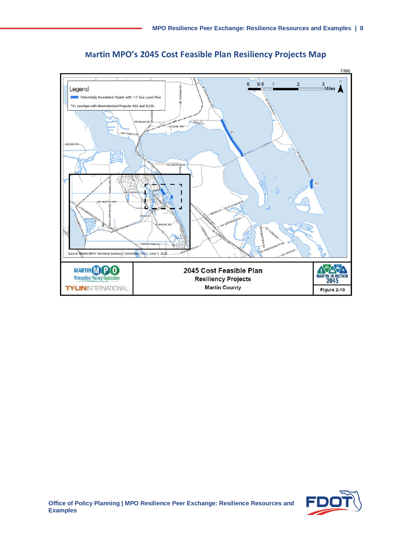

**Martin MPO's 2045 Cost Feasible Plan Resiliency Projects Map**

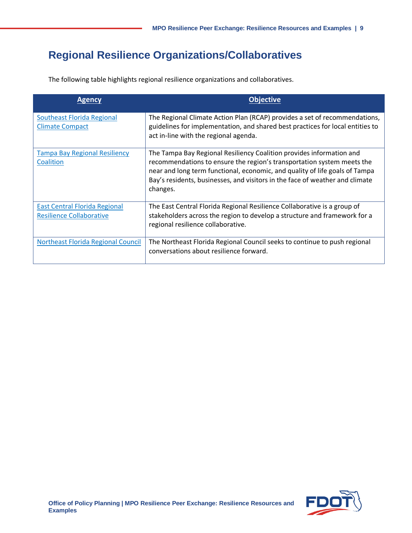## **Regional Resilience Organizations/Collaboratives**

The following table highlights regional resilience organizations and collaboratives.

| <b>Agency</b>                                                           | <b>Objective</b>                                                                                                                                                                                                                                                                                                          |
|-------------------------------------------------------------------------|---------------------------------------------------------------------------------------------------------------------------------------------------------------------------------------------------------------------------------------------------------------------------------------------------------------------------|
| <b>Southeast Florida Regional</b><br><b>Climate Compact</b>             | The Regional Climate Action Plan (RCAP) provides a set of recommendations,<br>guidelines for implementation, and shared best practices for local entities to<br>act in-line with the regional agenda.                                                                                                                     |
| <b>Tampa Bay Regional Resiliency</b><br>Coalition                       | The Tampa Bay Regional Resiliency Coalition provides information and<br>recommendations to ensure the region's transportation system meets the<br>near and long term functional, economic, and quality of life goals of Tampa<br>Bay's residents, businesses, and visitors in the face of weather and climate<br>changes. |
| <b>East Central Florida Regional</b><br><b>Resilience Collaborative</b> | The East Central Florida Regional Resilience Collaborative is a group of<br>stakeholders across the region to develop a structure and framework for a<br>regional resilience collaborative.                                                                                                                               |
| Northeast Florida Regional Council                                      | The Northeast Florida Regional Council seeks to continue to push regional<br>conversations about resilience forward.                                                                                                                                                                                                      |

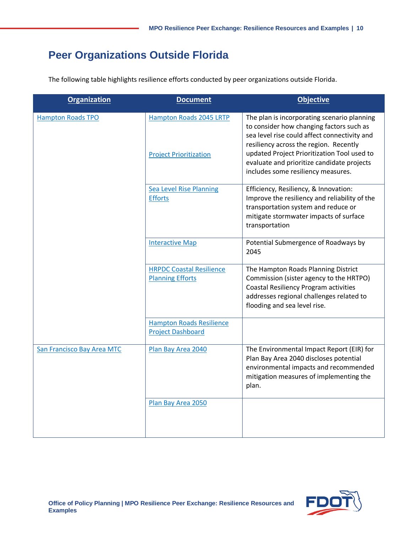#### **Peer Organizations Outside Florida**

The following table highlights resilience efforts conducted by peer organizations outside Florida.

| <b>Organization</b>        | <b>Document</b>                                                 | <b>Objective</b>                                                                                                                                                                                                                                                                                                     |
|----------------------------|-----------------------------------------------------------------|----------------------------------------------------------------------------------------------------------------------------------------------------------------------------------------------------------------------------------------------------------------------------------------------------------------------|
| <b>Hampton Roads TPO</b>   | <b>Hampton Roads 2045 LRTP</b><br><b>Project Prioritization</b> | The plan is incorporating scenario planning<br>to consider how changing factors such as<br>sea level rise could affect connectivity and<br>resiliency across the region. Recently<br>updated Project Prioritization Tool used to<br>evaluate and prioritize candidate projects<br>includes some resiliency measures. |
|                            | <b>Sea Level Rise Planning</b><br><b>Efforts</b>                | Efficiency, Resiliency, & Innovation:<br>Improve the resiliency and reliability of the<br>transportation system and reduce or<br>mitigate stormwater impacts of surface<br>transportation                                                                                                                            |
|                            | <b>Interactive Map</b>                                          | Potential Submergence of Roadways by<br>2045                                                                                                                                                                                                                                                                         |
|                            | <b>HRPDC Coastal Resilience</b><br><b>Planning Efforts</b>      | The Hampton Roads Planning District<br>Commission (sister agency to the HRTPO)<br><b>Coastal Resiliency Program activities</b><br>addresses regional challenges related to<br>flooding and sea level rise.                                                                                                           |
|                            | <b>Hampton Roads Resilience</b><br><b>Project Dashboard</b>     |                                                                                                                                                                                                                                                                                                                      |
| San Francisco Bay Area MTC | Plan Bay Area 2040                                              | The Environmental Impact Report (EIR) for<br>Plan Bay Area 2040 discloses potential<br>environmental impacts and recommended<br>mitigation measures of implementing the<br>plan.                                                                                                                                     |
|                            | Plan Bay Area 2050                                              |                                                                                                                                                                                                                                                                                                                      |

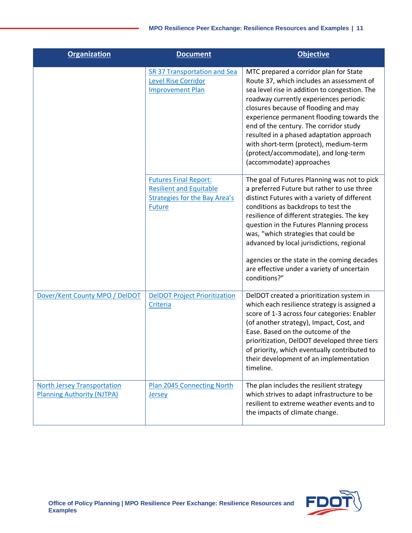| <b>Organization</b>                                                     | <b>Document</b>                                                                                                         | <b>Objective</b>                                                                                                                                                                                                                                                                                                                                                                                                                                                               |
|-------------------------------------------------------------------------|-------------------------------------------------------------------------------------------------------------------------|--------------------------------------------------------------------------------------------------------------------------------------------------------------------------------------------------------------------------------------------------------------------------------------------------------------------------------------------------------------------------------------------------------------------------------------------------------------------------------|
|                                                                         | <b>SR 37 Transportation and Sea</b><br><b>Level Rise Corridor</b><br><b>Improvement Plan</b>                            | MTC prepared a corridor plan for State<br>Route 37, which includes an assessment of<br>sea level rise in addition to congestion. The<br>roadway currently experiences periodic<br>closures because of flooding and may<br>experience permanent flooding towards the<br>end of the century. The corridor study<br>resulted in a phased adaptation approach<br>with short-term (protect), medium-term<br>(protect/accommodate), and long-term<br>(accommodate) approaches        |
|                                                                         | <b>Futures Final Report:</b><br><b>Resilient and Equitable</b><br><b>Strategies for the Bay Area's</b><br><b>Future</b> | The goal of Futures Planning was not to pick<br>a preferred Future but rather to use three<br>distinct Futures with a variety of different<br>conditions as backdrops to test the<br>resilience of different strategies. The key<br>question in the Futures Planning process<br>was, "which strategies that could be<br>advanced by local jurisdictions, regional<br>agencies or the state in the coming decades<br>are effective under a variety of uncertain<br>conditions?" |
| Dover/Kent County MPO / DelDOT                                          | <b>DelDOT Project Prioritization</b><br>Criteria                                                                        | DelDOT created a prioritization system in<br>which each resilience strategy is assigned a<br>score of 1-3 across four categories: Enabler<br>(of another strategy), Impact, Cost, and<br>Ease. Based on the outcome of the<br>prioritization, DelDOT developed three tiers<br>of priority, which eventually contributed to<br>their development of an implementation<br>timeline.                                                                                              |
| <b>North Jersey Transportation</b><br><b>Planning Authority (NJTPA)</b> | Plan 2045 Connecting North<br><b>Jersey</b>                                                                             | The plan includes the resilient strategy<br>which strives to adapt infrastructure to be<br>resilient to extreme weather events and to<br>the impacts of climate change.                                                                                                                                                                                                                                                                                                        |

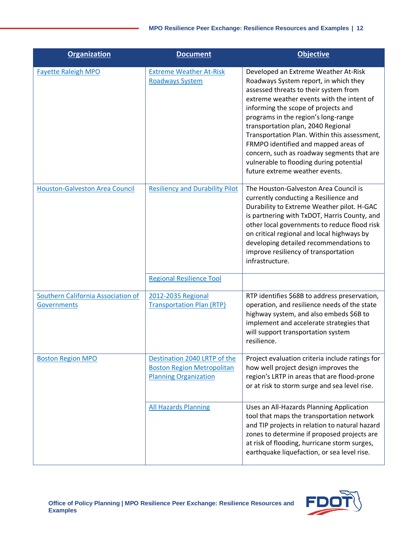| <b>Organization</b>                                             | <b>Document</b>                                                                                   | <b>Objective</b>                                                                                                                                                                                                                                                                                                                                                                                                                                                                                           |
|-----------------------------------------------------------------|---------------------------------------------------------------------------------------------------|------------------------------------------------------------------------------------------------------------------------------------------------------------------------------------------------------------------------------------------------------------------------------------------------------------------------------------------------------------------------------------------------------------------------------------------------------------------------------------------------------------|
| <b>Fayette Raleigh MPO</b>                                      | <b>Extreme Weather At-Risk</b><br><b>Roadways System</b>                                          | Developed an Extreme Weather At-Risk<br>Roadways System report, in which they<br>assessed threats to their system from<br>extreme weather events with the intent of<br>informing the scope of projects and<br>programs in the region's long-range<br>transportation plan, 2040 Regional<br>Transportation Plan. Within this assessment,<br>FRMPO identified and mapped areas of<br>concern, such as roadway segments that are<br>vulnerable to flooding during potential<br>future extreme weather events. |
| <b>Houston-Galveston Area Council</b>                           | <b>Resiliency and Durability Pilot</b>                                                            | The Houston-Galveston Area Council is<br>currently conducting a Resilience and<br>Durability to Extreme Weather pilot. H-GAC<br>is partnering with TxDOT, Harris County, and<br>other local governments to reduce flood risk<br>on critical regional and local highways by<br>developing detailed recommendations to<br>improve resiliency of transportation<br>infrastructure.                                                                                                                            |
|                                                                 | <b>Regional Resilience Tool</b>                                                                   |                                                                                                                                                                                                                                                                                                                                                                                                                                                                                                            |
| <b>Southern California Association of</b><br><b>Governments</b> | 2012-2035 Regional<br><b>Transportation Plan (RTP)</b>                                            | RTP identifies \$68B to address preservation,<br>operation, and resilience needs of the state<br>highway system, and also embeds \$6B to<br>implement and accelerate strategies that<br>will support transportation system<br>resilience.                                                                                                                                                                                                                                                                  |
| <b>Boston Region MPO</b>                                        | Destination 2040 LRTP of the<br><b>Boston Region Metropolitan</b><br><b>Planning Organization</b> | Project evaluation criteria include ratings for<br>how well project design improves the<br>region's LRTP in areas that are flood-prone<br>or at risk to storm surge and sea level rise.                                                                                                                                                                                                                                                                                                                    |
|                                                                 | <b>All Hazards Planning</b>                                                                       | Uses an All-Hazards Planning Application<br>tool that maps the transportation network<br>and TIP projects in relation to natural hazard<br>zones to determine if proposed projects are<br>at risk of flooding, hurricane storm surges,<br>earthquake liquefaction, or sea level rise.                                                                                                                                                                                                                      |

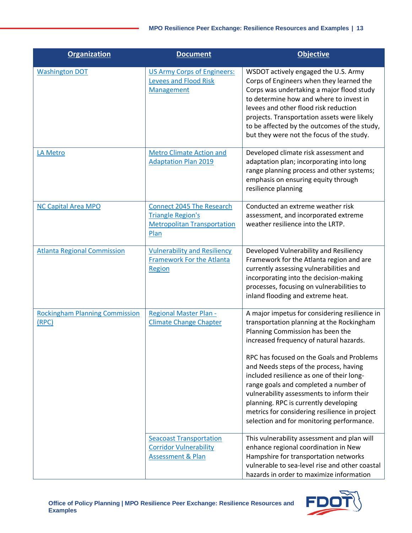| <b>Organization</b>                            | <b>Document</b>                                                                                            | <b>Objective</b>                                                                                                                                                                                                                                                                                                                                                                                                                                                                                                                           |
|------------------------------------------------|------------------------------------------------------------------------------------------------------------|--------------------------------------------------------------------------------------------------------------------------------------------------------------------------------------------------------------------------------------------------------------------------------------------------------------------------------------------------------------------------------------------------------------------------------------------------------------------------------------------------------------------------------------------|
| <b>Washington DOT</b>                          | <b>US Army Corps of Engineers:</b><br><b>Levees and Flood Risk</b><br><b>Management</b>                    | WSDOT actively engaged the U.S. Army<br>Corps of Engineers when they learned the<br>Corps was undertaking a major flood study<br>to determine how and where to invest in<br>levees and other flood risk reduction<br>projects. Transportation assets were likely<br>to be affected by the outcomes of the study,<br>but they were not the focus of the study.                                                                                                                                                                              |
| LA Metro                                       | <b>Metro Climate Action and</b><br><b>Adaptation Plan 2019</b>                                             | Developed climate risk assessment and<br>adaptation plan; incorporating into long<br>range planning process and other systems;<br>emphasis on ensuring equity through<br>resilience planning                                                                                                                                                                                                                                                                                                                                               |
| <b>NC Capital Area MPO</b>                     | <b>Connect 2045 The Research</b><br><b>Triangle Region's</b><br><b>Metropolitan Transportation</b><br>Plan | Conducted an extreme weather risk<br>assessment, and incorporated extreme<br>weather resilience into the LRTP.                                                                                                                                                                                                                                                                                                                                                                                                                             |
| <b>Atlanta Regional Commission</b>             | <b>Vulnerability and Resiliency</b><br><b>Framework For the Atlanta</b><br>Region                          | Developed Vulnerability and Resiliency<br>Framework for the Atlanta region and are<br>currently assessing vulnerabilities and<br>incorporating into the decision-making<br>processes, focusing on vulnerabilities to<br>inland flooding and extreme heat.                                                                                                                                                                                                                                                                                  |
| <b>Rockingham Planning Commission</b><br>(RPC) | <b>Regional Master Plan -</b><br><b>Climate Change Chapter</b>                                             | A major impetus for considering resilience in<br>transportation planning at the Rockingham<br>Planning Commission has been the<br>increased frequency of natural hazards.<br>RPC has focused on the Goals and Problems<br>and Needs steps of the process, having<br>included resilience as one of their long-<br>range goals and completed a number of<br>vulnerability assessments to inform their<br>planning. RPC is currently developing<br>metrics for considering resilience in project<br>selection and for monitoring performance. |
|                                                | <b>Seacoast Transportation</b><br><b>Corridor Vulnerability</b><br><b>Assessment &amp; Plan</b>            | This vulnerability assessment and plan will<br>enhance regional coordination in New<br>Hampshire for transportation networks<br>vulnerable to sea-level rise and other coastal<br>hazards in order to maximize information                                                                                                                                                                                                                                                                                                                 |

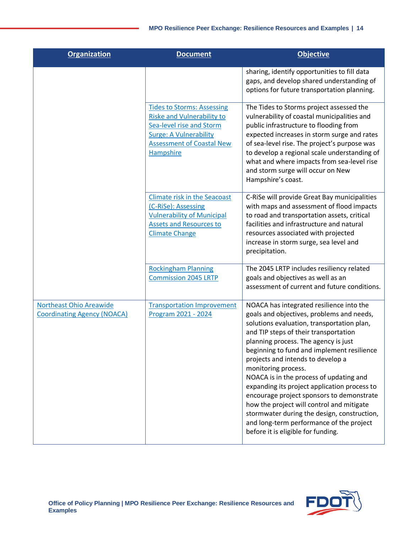| <b>Organization</b>                                                  | <b>Document</b>                                                                                                                                                                             | <b>Objective</b>                                                                                                                                                                                                                                                                                                                                                                                                                                                                                                                                                                                                                                     |
|----------------------------------------------------------------------|---------------------------------------------------------------------------------------------------------------------------------------------------------------------------------------------|------------------------------------------------------------------------------------------------------------------------------------------------------------------------------------------------------------------------------------------------------------------------------------------------------------------------------------------------------------------------------------------------------------------------------------------------------------------------------------------------------------------------------------------------------------------------------------------------------------------------------------------------------|
|                                                                      |                                                                                                                                                                                             | sharing, identify opportunities to fill data<br>gaps, and develop shared understanding of<br>options for future transportation planning.                                                                                                                                                                                                                                                                                                                                                                                                                                                                                                             |
|                                                                      | <b>Tides to Storms: Assessing</b><br><b>Riske and Vulnerability to</b><br>Sea-level rise and Storm<br><b>Surge: A Vulnerability</b><br><b>Assessment of Coastal New</b><br><b>Hampshire</b> | The Tides to Storms project assessed the<br>vulnerability of coastal municipalities and<br>public infrastructure to flooding from<br>expected increases in storm surge and rates<br>of sea-level rise. The project's purpose was<br>to develop a regional scale understanding of<br>what and where impacts from sea-level rise<br>and storm surge will occur on New<br>Hampshire's coast.                                                                                                                                                                                                                                                            |
|                                                                      | <b>Climate risk in the Seacoast</b><br>(C-RiSe): Assessing<br><b>Vulnerability of Municipal</b><br><b>Assets and Resources to</b><br><b>Climate Change</b>                                  | C-RiSe will provide Great Bay municipalities<br>with maps and assessment of flood impacts<br>to road and transportation assets, critical<br>facilities and infrastructure and natural<br>resources associated with projected<br>increase in storm surge, sea level and<br>precipitation.                                                                                                                                                                                                                                                                                                                                                             |
|                                                                      | <b>Rockingham Planning</b><br><b>Commission 2045 LRTP</b>                                                                                                                                   | The 2045 LRTP includes resiliency related<br>goals and objectives as well as an<br>assessment of current and future conditions.                                                                                                                                                                                                                                                                                                                                                                                                                                                                                                                      |
| <b>Northeast Ohio Areawide</b><br><b>Coordinating Agency (NOACA)</b> | <b>Transportation Improvement</b><br>Program 2021 - 2024                                                                                                                                    | NOACA has integrated resilience into the<br>goals and objectives, problems and needs,<br>solutions evaluation, transportation plan,<br>and TIP steps of their transportation<br>planning process. The agency is just<br>beginning to fund and implement resilience<br>projects and intends to develop a<br>monitoring process.<br>NOACA is in the process of updating and<br>expanding its project application process to<br>encourage project sponsors to demonstrate<br>how the project will control and mitigate<br>stormwater during the design, construction,<br>and long-term performance of the project<br>before it is eligible for funding. |

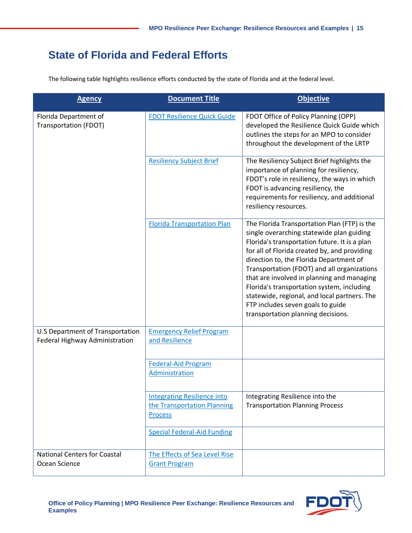#### **State of Florida and Federal Efforts**

The following table highlights resilience efforts conducted by the state of Florida and at the federal level.

| <b>Agency</b>                                                      | <b>Document Title</b>                                                               | <b>Objective</b>                                                                                                                                                                                                                                                                                                                                                                                                                                                                                            |
|--------------------------------------------------------------------|-------------------------------------------------------------------------------------|-------------------------------------------------------------------------------------------------------------------------------------------------------------------------------------------------------------------------------------------------------------------------------------------------------------------------------------------------------------------------------------------------------------------------------------------------------------------------------------------------------------|
| Florida Department of<br><b>Transportation (FDOT)</b>              | <b>FDOT Resilience Quick Guide</b>                                                  | FDOT Office of Policy Planning (OPP)<br>developed the Resilience Quick Guide which<br>outlines the steps for an MPO to consider<br>throughout the development of the LRTP                                                                                                                                                                                                                                                                                                                                   |
|                                                                    | <b>Resiliency Subject Brief</b>                                                     | The Resiliency Subject Brief highlights the<br>importance of planning for resiliency,<br>FDOT's role in resiliency, the ways in which<br>FDOT is advancing resiliency, the<br>requirements for resiliency, and additional<br>resiliency resources.                                                                                                                                                                                                                                                          |
|                                                                    | <b>Florida Transportation Plan</b>                                                  | The Florida Transportation Plan (FTP) is the<br>single overarching statewide plan guiding<br>Florida's transportation future. It is a plan<br>for all of Florida created by, and providing<br>direction to, the Florida Department of<br>Transportation (FDOT) and all organizations<br>that are involved in planning and managing<br>Florida's transportation system, including<br>statewide, regional, and local partners. The<br>FTP includes seven goals to guide<br>transportation planning decisions. |
| U.S Department of Transportation<br>Federal Highway Administration | <b>Emergency Relief Program</b><br>and Resilience                                   |                                                                                                                                                                                                                                                                                                                                                                                                                                                                                                             |
|                                                                    | <b>Federal-Aid Program</b><br>Administration                                        |                                                                                                                                                                                                                                                                                                                                                                                                                                                                                                             |
|                                                                    | <b>Integrating Resilience into</b><br>the Transportation Planning<br><b>Process</b> | Integrating Resilience into the<br><b>Transportation Planning Process</b>                                                                                                                                                                                                                                                                                                                                                                                                                                   |
|                                                                    | <b>Special Federal-Aid Funding</b>                                                  |                                                                                                                                                                                                                                                                                                                                                                                                                                                                                                             |
| <b>National Centers for Coastal</b><br>Ocean Science               | The Effects of Sea Level Rise<br><b>Grant Program</b>                               |                                                                                                                                                                                                                                                                                                                                                                                                                                                                                                             |

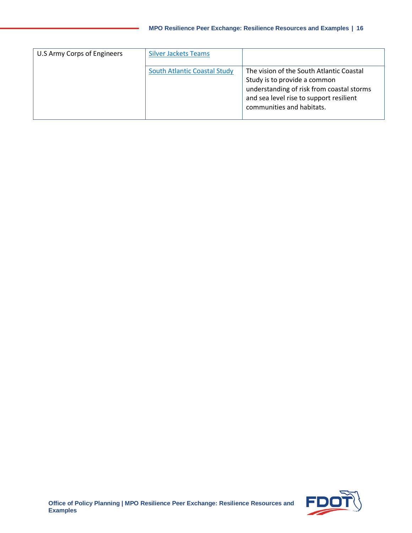| U.S Army Corps of Engineers | <b>Silver Jackets Teams</b>         |                                                                                                                                                                                               |
|-----------------------------|-------------------------------------|-----------------------------------------------------------------------------------------------------------------------------------------------------------------------------------------------|
|                             | <b>South Atlantic Coastal Study</b> | The vision of the South Atlantic Coastal<br>Study is to provide a common<br>understanding of risk from coastal storms<br>and sea level rise to support resilient<br>communities and habitats. |

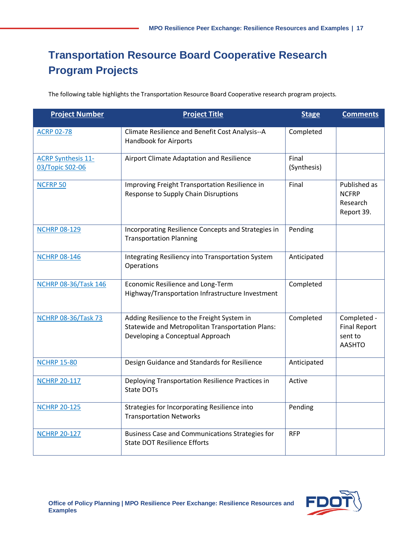# **Transportation Resource Board Cooperative Research Program Projects**

The following table highlights the Transportation Resource Board Cooperative research program projects.

| <b>Project Number</b>                        | <b>Project Title</b>                                                                                                                      | <b>Stage</b>         | <b>Comments</b>                                                |
|----------------------------------------------|-------------------------------------------------------------------------------------------------------------------------------------------|----------------------|----------------------------------------------------------------|
| <b>ACRP 02-78</b>                            | Climate Resilience and Benefit Cost Analysis--A<br><b>Handbook for Airports</b>                                                           | Completed            |                                                                |
| <b>ACRP Synthesis 11-</b><br>03/Topic S02-06 | Airport Climate Adaptation and Resilience                                                                                                 | Final<br>(Synthesis) |                                                                |
| <b>NCFRP 50</b>                              | Improving Freight Transportation Resilience in<br>Response to Supply Chain Disruptions                                                    | Final                | Published as<br><b>NCFRP</b><br>Research<br>Report 39.         |
| <b>NCHRP 08-129</b>                          | Incorporating Resilience Concepts and Strategies in<br><b>Transportation Planning</b>                                                     | Pending              |                                                                |
| <b>NCHRP 08-146</b>                          | Integrating Resiliency into Transportation System<br>Operations                                                                           | Anticipated          |                                                                |
| <b>NCHRP 08-36/Task 146</b>                  | Economic Resilience and Long-Term<br>Highway/Transportation Infrastructure Investment                                                     | Completed            |                                                                |
| <b>NCHRP 08-36/Task 73</b>                   | Adding Resilience to the Freight System in<br><b>Statewide and Metropolitan Transportation Plans:</b><br>Developing a Conceptual Approach | Completed            | Completed -<br><b>Final Report</b><br>sent to<br><b>AASHTO</b> |
| <b>NCHRP 15-80</b>                           | Design Guidance and Standards for Resilience                                                                                              | Anticipated          |                                                                |
| <b>NCHRP 20-117</b>                          | Deploying Transportation Resilience Practices in<br>State DOTs                                                                            | Active               |                                                                |
| <b>NCHRP 20-125</b>                          | Strategies for Incorporating Resilience into<br><b>Transportation Networks</b>                                                            | Pending              |                                                                |
| <b>NCHRP 20-127</b>                          | <b>Business Case and Communications Strategies for</b><br><b>State DOT Resilience Efforts</b>                                             | <b>RFP</b>           |                                                                |